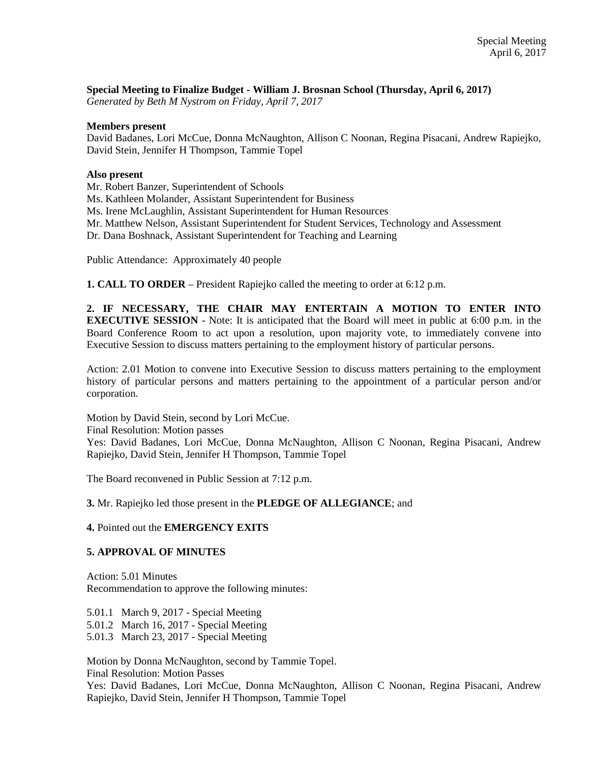### **Special Meeting to Finalize Budget - William J. Brosnan School (Thursday, April 6, 2017)**

*Generated by Beth M Nystrom on Friday, April 7, 2017*

#### **Members present**

David Badanes, Lori McCue, Donna McNaughton, Allison C Noonan, Regina Pisacani, Andrew Rapiejko, David Stein, Jennifer H Thompson, Tammie Topel

#### **Also present**

Mr. Robert Banzer, Superintendent of Schools

Ms. Kathleen Molander, Assistant Superintendent for Business

Ms. Irene McLaughlin, Assistant Superintendent for Human Resources

Mr. Matthew Nelson, Assistant Superintendent for Student Services, Technology and Assessment

Dr. Dana Boshnack, Assistant Superintendent for Teaching and Learning

Public Attendance: Approximately 40 people

**1. CALL TO ORDER** – President Rapiejko called the meeting to order at 6:12 p.m.

**2. IF NECESSARY, THE CHAIR MAY ENTERTAIN A MOTION TO ENTER INTO EXECUTIVE SESSION** - Note: It is anticipated that the Board will meet in public at 6:00 p.m. in the Board Conference Room to act upon a resolution, upon majority vote, to immediately convene into Executive Session to discuss matters pertaining to the employment history of particular persons.

Action: 2.01 Motion to convene into Executive Session to discuss matters pertaining to the employment history of particular persons and matters pertaining to the appointment of a particular person and/or corporation.

Motion by David Stein, second by Lori McCue.

Final Resolution: Motion passes

Yes: David Badanes, Lori McCue, Donna McNaughton, Allison C Noonan, Regina Pisacani, Andrew Rapiejko, David Stein, Jennifer H Thompson, Tammie Topel

The Board reconvened in Public Session at 7:12 p.m.

**3.** Mr. Rapiejko led those present in the **PLEDGE OF ALLEGIANCE**; and

### **4.** Pointed out the **EMERGENCY EXITS**

### **5. APPROVAL OF MINUTES**

Action: 5.01 Minutes Recommendation to approve the following minutes:

5.01.1 March 9, 2017 - Special Meeting 5.01.2 March 16, 2017 - Special Meeting 5.01.3 March 23, 2017 - Special Meeting

Motion by Donna McNaughton, second by Tammie Topel. Final Resolution: Motion Passes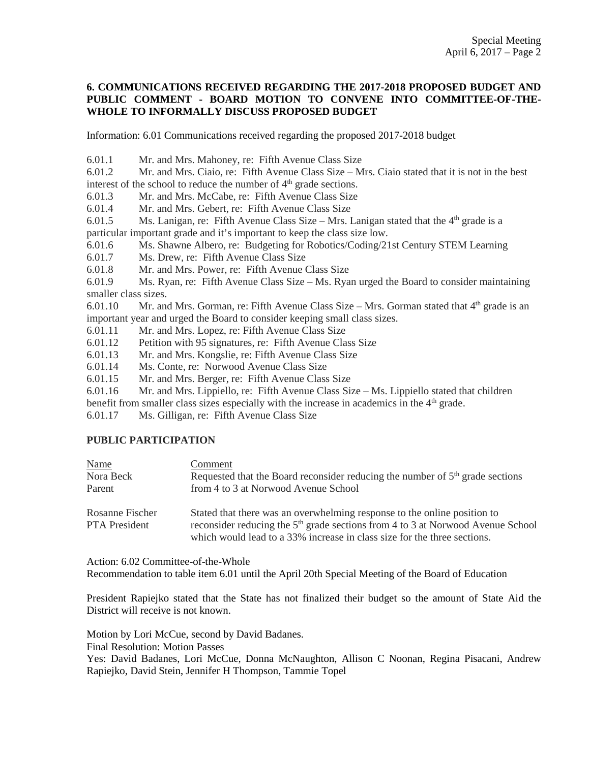### **6. COMMUNICATIONS RECEIVED REGARDING THE 2017-2018 PROPOSED BUDGET AND PUBLIC COMMENT - BOARD MOTION TO CONVENE INTO COMMITTEE-OF-THE-WHOLE TO INFORMALLY DISCUSS PROPOSED BUDGET**

Information: 6.01 Communications received regarding the proposed 2017-2018 budget

6.01.1 Mr. and Mrs. Mahoney, re: Fifth Avenue Class Size

6.01.2 Mr. and Mrs. Ciaio, re: Fifth Avenue Class Size – Mrs. Ciaio stated that it is not in the best interest of the school to reduce the number of  $4<sup>th</sup>$  grade sections.

6.01.3 Mr. and Mrs. McCabe, re: Fifth Avenue Class Size

6.01.4 Mr. and Mrs. Gebert, re: Fifth Avenue Class Size

6.01.5 Ms. Lanigan, re: Fifth Avenue Class Size – Mrs. Lanigan stated that the  $4<sup>th</sup>$  grade is a particular important grade and it's important to keep the class size low.

6.01.6 Ms. Shawne Albero, re: Budgeting for Robotics/Coding/21st Century STEM Learning

6.01.7 Ms. Drew, re: Fifth Avenue Class Size

6.01.8 Mr. and Mrs. Power, re: Fifth Avenue Class Size

6.01.9 Ms. Ryan, re: Fifth Avenue Class Size – Ms. Ryan urged the Board to consider maintaining smaller class sizes.

6.01.10 Mr. and Mrs. Gorman, re: Fifth Avenue Class Size – Mrs. Gorman stated that  $4<sup>th</sup>$  grade is an important year and urged the Board to consider keeping small class sizes.

6.01.11 Mr. and Mrs. Lopez, re: Fifth Avenue Class Size

6.01.12 Petition with 95 signatures, re: Fifth Avenue Class Size

6.01.13 Mr. and Mrs. Kongslie, re: Fifth Avenue Class Size

6.01.14 Ms. Conte, re: Norwood Avenue Class Size

6.01.15 Mr. and Mrs. Berger, re: Fifth Avenue Class Size

6.01.16 Mr. and Mrs. Lippiello, re: Fifth Avenue Class Size – Ms. Lippiello stated that children benefit from smaller class sizes especially with the increase in academics in the  $4<sup>th</sup>$  grade.

6.01.17 Ms. Gilligan, re: Fifth Avenue Class Size

### **PUBLIC PARTICIPATION**

| <b>Name</b>     | Comment                                                                                     |
|-----------------|---------------------------------------------------------------------------------------------|
| Nora Beck       | Requested that the Board reconsider reducing the number of $5th$ grade sections             |
| Parent          | from 4 to 3 at Norwood Avenue School                                                        |
| Rosanne Fischer | Stated that there was an overwhelming response to the online position to                    |
| PTA President   | reconsider reducing the 5 <sup>th</sup> grade sections from 4 to 3 at Norwood Avenue School |
|                 | which would lead to a 33% increase in class size for the three sections.                    |

Action: 6.02 Committee-of-the-Whole

Recommendation to table item 6.01 until the April 20th Special Meeting of the Board of Education

President Rapiejko stated that the State has not finalized their budget so the amount of State Aid the District will receive is not known.

Motion by Lori McCue, second by David Badanes.

Final Resolution: Motion Passes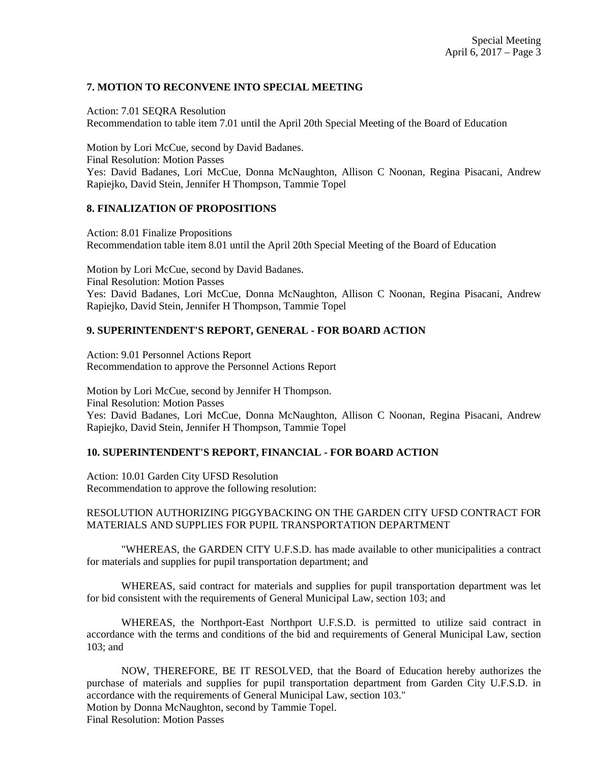## **7. MOTION TO RECONVENE INTO SPECIAL MEETING**

Action: 7.01 SEQRA Resolution Recommendation to table item 7.01 until the April 20th Special Meeting of the Board of Education

Motion by Lori McCue, second by David Badanes. Final Resolution: Motion Passes Yes: David Badanes, Lori McCue, Donna McNaughton, Allison C Noonan, Regina Pisacani, Andrew Rapiejko, David Stein, Jennifer H Thompson, Tammie Topel

### **8. FINALIZATION OF PROPOSITIONS**

Action: 8.01 Finalize Propositions Recommendation table item 8.01 until the April 20th Special Meeting of the Board of Education

Motion by Lori McCue, second by David Badanes. Final Resolution: Motion Passes Yes: David Badanes, Lori McCue, Donna McNaughton, Allison C Noonan, Regina Pisacani, Andrew Rapiejko, David Stein, Jennifer H Thompson, Tammie Topel

# **9. SUPERINTENDENT'S REPORT, GENERAL - FOR BOARD ACTION**

Action: 9.01 Personnel Actions Report Recommendation to approve the Personnel Actions Report

Motion by Lori McCue, second by Jennifer H Thompson. Final Resolution: Motion Passes Yes: David Badanes, Lori McCue, Donna McNaughton, Allison C Noonan, Regina Pisacani, Andrew Rapiejko, David Stein, Jennifer H Thompson, Tammie Topel

# **10. SUPERINTENDENT'S REPORT, FINANCIAL - FOR BOARD ACTION**

Action: 10.01 Garden City UFSD Resolution Recommendation to approve the following resolution:

### RESOLUTION AUTHORIZING PIGGYBACKING ON THE GARDEN CITY UFSD CONTRACT FOR MATERIALS AND SUPPLIES FOR PUPIL TRANSPORTATION DEPARTMENT

"WHEREAS, the GARDEN CITY U.F.S.D. has made available to other municipalities a contract for materials and supplies for pupil transportation department; and

WHEREAS, said contract for materials and supplies for pupil transportation department was let for bid consistent with the requirements of General Municipal Law, section 103; and

WHEREAS, the Northport-East Northport U.F.S.D. is permitted to utilize said contract in accordance with the terms and conditions of the bid and requirements of General Municipal Law, section 103; and

NOW, THEREFORE, BE IT RESOLVED, that the Board of Education hereby authorizes the purchase of materials and supplies for pupil transportation department from Garden City U.F.S.D. in accordance with the requirements of General Municipal Law, section 103." Motion by Donna McNaughton, second by Tammie Topel. Final Resolution: Motion Passes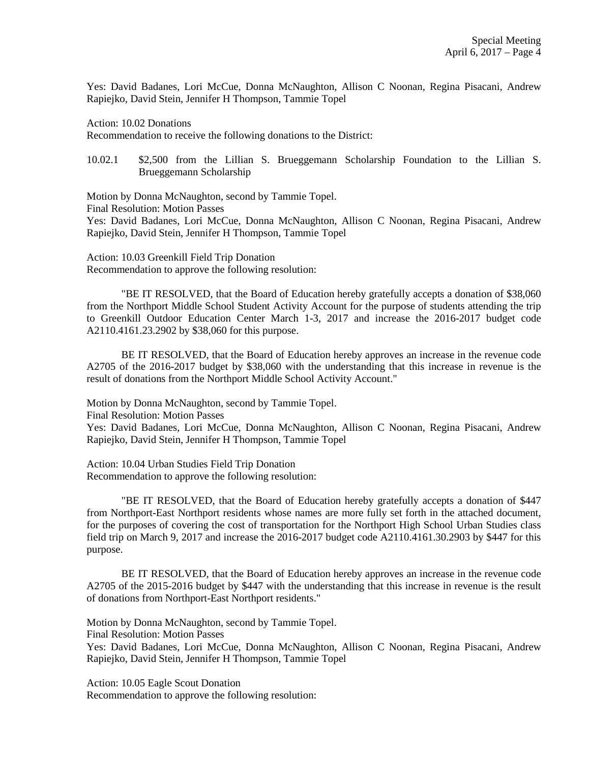Yes: David Badanes, Lori McCue, Donna McNaughton, Allison C Noonan, Regina Pisacani, Andrew Rapiejko, David Stein, Jennifer H Thompson, Tammie Topel

Action: 10.02 Donations

Recommendation to receive the following donations to the District:

10.02.1 \$2,500 from the Lillian S. Brueggemann Scholarship Foundation to the Lillian S. Brueggemann Scholarship

Motion by Donna McNaughton, second by Tammie Topel.

Final Resolution: Motion Passes

Yes: David Badanes, Lori McCue, Donna McNaughton, Allison C Noonan, Regina Pisacani, Andrew Rapiejko, David Stein, Jennifer H Thompson, Tammie Topel

Action: 10.03 Greenkill Field Trip Donation Recommendation to approve the following resolution:

"BE IT RESOLVED, that the Board of Education hereby gratefully accepts a donation of \$38,060 from the Northport Middle School Student Activity Account for the purpose of students attending the trip to Greenkill Outdoor Education Center March 1-3, 2017 and increase the 2016-2017 budget code A2110.4161.23.2902 by \$38,060 for this purpose.

BE IT RESOLVED, that the Board of Education hereby approves an increase in the revenue code A2705 of the 2016-2017 budget by \$38,060 with the understanding that this increase in revenue is the result of donations from the Northport Middle School Activity Account."

Motion by Donna McNaughton, second by Tammie Topel.

Final Resolution: Motion Passes

Yes: David Badanes, Lori McCue, Donna McNaughton, Allison C Noonan, Regina Pisacani, Andrew Rapiejko, David Stein, Jennifer H Thompson, Tammie Topel

Action: 10.04 Urban Studies Field Trip Donation Recommendation to approve the following resolution:

"BE IT RESOLVED, that the Board of Education hereby gratefully accepts a donation of \$447 from Northport-East Northport residents whose names are more fully set forth in the attached document, for the purposes of covering the cost of transportation for the Northport High School Urban Studies class field trip on March 9, 2017 and increase the 2016-2017 budget code A2110.4161.30.2903 by \$447 for this purpose.

BE IT RESOLVED, that the Board of Education hereby approves an increase in the revenue code A2705 of the 2015-2016 budget by \$447 with the understanding that this increase in revenue is the result of donations from Northport-East Northport residents."

Motion by Donna McNaughton, second by Tammie Topel.

Final Resolution: Motion Passes

Yes: David Badanes, Lori McCue, Donna McNaughton, Allison C Noonan, Regina Pisacani, Andrew Rapiejko, David Stein, Jennifer H Thompson, Tammie Topel

Action: 10.05 Eagle Scout Donation Recommendation to approve the following resolution: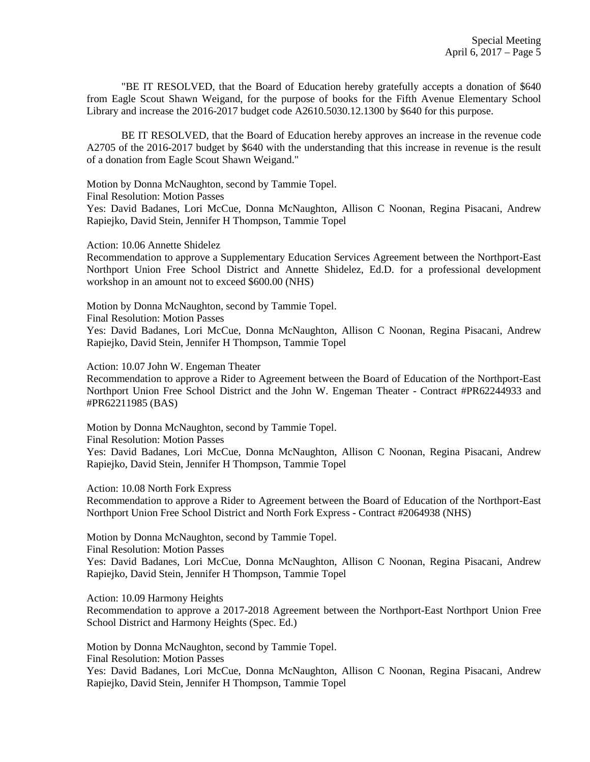"BE IT RESOLVED, that the Board of Education hereby gratefully accepts a donation of \$640 from Eagle Scout Shawn Weigand, for the purpose of books for the Fifth Avenue Elementary School Library and increase the 2016-2017 budget code A2610.5030.12.1300 by \$640 for this purpose.

BE IT RESOLVED, that the Board of Education hereby approves an increase in the revenue code A2705 of the 2016-2017 budget by \$640 with the understanding that this increase in revenue is the result of a donation from Eagle Scout Shawn Weigand."

Motion by Donna McNaughton, second by Tammie Topel.

Final Resolution: Motion Passes

Yes: David Badanes, Lori McCue, Donna McNaughton, Allison C Noonan, Regina Pisacani, Andrew Rapiejko, David Stein, Jennifer H Thompson, Tammie Topel

Action: 10.06 Annette Shidelez

Recommendation to approve a Supplementary Education Services Agreement between the Northport-East Northport Union Free School District and Annette Shidelez, Ed.D. for a professional development workshop in an amount not to exceed \$600.00 (NHS)

Motion by Donna McNaughton, second by Tammie Topel.

Final Resolution: Motion Passes

Yes: David Badanes, Lori McCue, Donna McNaughton, Allison C Noonan, Regina Pisacani, Andrew Rapiejko, David Stein, Jennifer H Thompson, Tammie Topel

Action: 10.07 John W. Engeman Theater

Recommendation to approve a Rider to Agreement between the Board of Education of the Northport-East Northport Union Free School District and the John W. Engeman Theater - Contract #PR62244933 and #PR62211985 (BAS)

Motion by Donna McNaughton, second by Tammie Topel. Final Resolution: Motion Passes

Yes: David Badanes, Lori McCue, Donna McNaughton, Allison C Noonan, Regina Pisacani, Andrew Rapiejko, David Stein, Jennifer H Thompson, Tammie Topel

Action: 10.08 North Fork Express

Recommendation to approve a Rider to Agreement between the Board of Education of the Northport-East Northport Union Free School District and North Fork Express - Contract #2064938 (NHS)

Motion by Donna McNaughton, second by Tammie Topel. Final Resolution: Motion Passes

Yes: David Badanes, Lori McCue, Donna McNaughton, Allison C Noonan, Regina Pisacani, Andrew Rapiejko, David Stein, Jennifer H Thompson, Tammie Topel

Action: 10.09 Harmony Heights

Recommendation to approve a 2017-2018 Agreement between the Northport-East Northport Union Free School District and Harmony Heights (Spec. Ed.)

Motion by Donna McNaughton, second by Tammie Topel.

Final Resolution: Motion Passes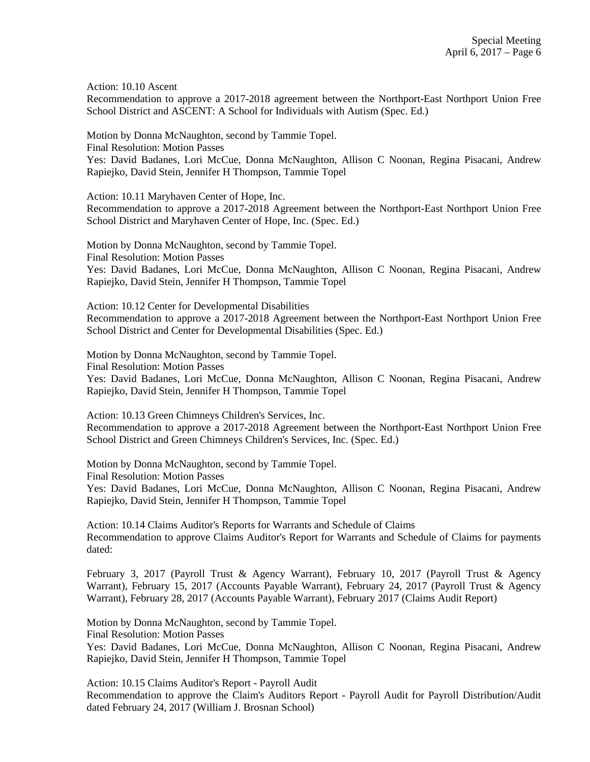Action: 10.10 Ascent

Recommendation to approve a 2017-2018 agreement between the Northport-East Northport Union Free School District and ASCENT: A School for Individuals with Autism (Spec. Ed.)

Motion by Donna McNaughton, second by Tammie Topel. Final Resolution: Motion Passes Yes: David Badanes, Lori McCue, Donna McNaughton, Allison C Noonan, Regina Pisacani, Andrew Rapiejko, David Stein, Jennifer H Thompson, Tammie Topel

Action: 10.11 Maryhaven Center of Hope, Inc. Recommendation to approve a 2017-2018 Agreement between the Northport-East Northport Union Free

School District and Maryhaven Center of Hope, Inc. (Spec. Ed.)

Motion by Donna McNaughton, second by Tammie Topel. Final Resolution: Motion Passes Yes: David Badanes, Lori McCue, Donna McNaughton, Allison C Noonan, Regina Pisacani, Andrew Rapiejko, David Stein, Jennifer H Thompson, Tammie Topel

Action: 10.12 Center for Developmental Disabilities Recommendation to approve a 2017-2018 Agreement between the Northport-East Northport Union Free School District and Center for Developmental Disabilities (Spec. Ed.)

Motion by Donna McNaughton, second by Tammie Topel.

Final Resolution: Motion Passes

Yes: David Badanes, Lori McCue, Donna McNaughton, Allison C Noonan, Regina Pisacani, Andrew Rapiejko, David Stein, Jennifer H Thompson, Tammie Topel

Action: 10.13 Green Chimneys Children's Services, Inc. Recommendation to approve a 2017-2018 Agreement between the Northport-East Northport Union Free School District and Green Chimneys Children's Services, Inc. (Spec. Ed.)

Motion by Donna McNaughton, second by Tammie Topel.

Final Resolution: Motion Passes

Yes: David Badanes, Lori McCue, Donna McNaughton, Allison C Noonan, Regina Pisacani, Andrew Rapiejko, David Stein, Jennifer H Thompson, Tammie Topel

Action: 10.14 Claims Auditor's Reports for Warrants and Schedule of Claims Recommendation to approve Claims Auditor's Report for Warrants and Schedule of Claims for payments dated:

February 3, 2017 (Payroll Trust & Agency Warrant), February 10, 2017 (Payroll Trust & Agency Warrant), February 15, 2017 (Accounts Payable Warrant), February 24, 2017 (Payroll Trust & Agency Warrant), February 28, 2017 (Accounts Payable Warrant), February 2017 (Claims Audit Report)

Motion by Donna McNaughton, second by Tammie Topel.

Final Resolution: Motion Passes

Yes: David Badanes, Lori McCue, Donna McNaughton, Allison C Noonan, Regina Pisacani, Andrew Rapiejko, David Stein, Jennifer H Thompson, Tammie Topel

Action: 10.15 Claims Auditor's Report - Payroll Audit Recommendation to approve the Claim's Auditors Report - Payroll Audit for Payroll Distribution/Audit dated February 24, 2017 (William J. Brosnan School)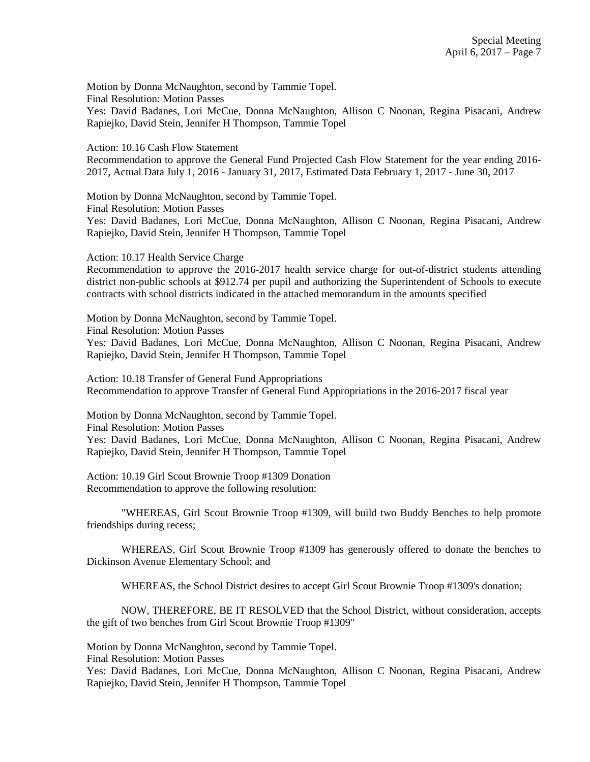Motion by Donna McNaughton, second by Tammie Topel.

Final Resolution: Motion Passes

Yes: David Badanes, Lori McCue, Donna McNaughton, Allison C Noonan, Regina Pisacani, Andrew Rapiejko, David Stein, Jennifer H Thompson, Tammie Topel

Action: 10.16 Cash Flow Statement

Recommendation to approve the General Fund Projected Cash Flow Statement for the year ending 2016- 2017, Actual Data July 1, 2016 - January 31, 2017, Estimated Data February 1, 2017 - June 30, 2017

Motion by Donna McNaughton, second by Tammie Topel.

Final Resolution: Motion Passes

Yes: David Badanes, Lori McCue, Donna McNaughton, Allison C Noonan, Regina Pisacani, Andrew Rapiejko, David Stein, Jennifer H Thompson, Tammie Topel

Action: 10.17 Health Service Charge

Recommendation to approve the 2016-2017 health service charge for out-of-district students attending district non-public schools at \$912.74 per pupil and authorizing the Superintendent of Schools to execute contracts with school districts indicated in the attached memorandum in the amounts specified

Motion by Donna McNaughton, second by Tammie Topel.

Final Resolution: Motion Passes

Yes: David Badanes, Lori McCue, Donna McNaughton, Allison C Noonan, Regina Pisacani, Andrew Rapiejko, David Stein, Jennifer H Thompson, Tammie Topel

Action: 10.18 Transfer of General Fund Appropriations Recommendation to approve Transfer of General Fund Appropriations in the 2016-2017 fiscal year

Motion by Donna McNaughton, second by Tammie Topel. Final Resolution: Motion Passes Yes: David Badanes, Lori McCue, Donna McNaughton, Allison C Noonan, Regina Pisacani, Andrew Rapiejko, David Stein, Jennifer H Thompson, Tammie Topel

Action: 10.19 Girl Scout Brownie Troop #1309 Donation Recommendation to approve the following resolution:

"WHEREAS, Girl Scout Brownie Troop #1309, will build two Buddy Benches to help promote friendships during recess;

WHEREAS, Girl Scout Brownie Troop #1309 has generously offered to donate the benches to Dickinson Avenue Elementary School; and

WHEREAS, the School District desires to accept Girl Scout Brownie Troop #1309's donation;

NOW, THEREFORE, BE IT RESOLVED that the School District, without consideration, accepts the gift of two benches from Girl Scout Brownie Troop #1309"

Motion by Donna McNaughton, second by Tammie Topel.

Final Resolution: Motion Passes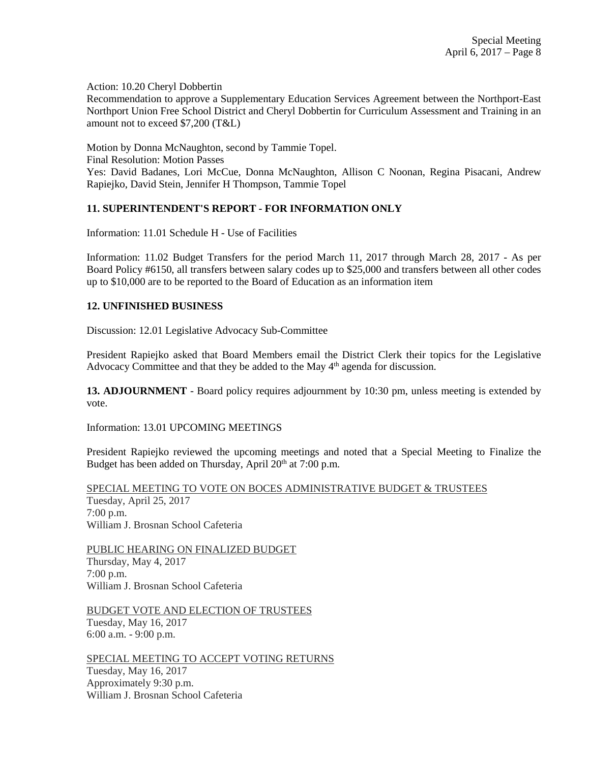Action: 10.20 Cheryl Dobbertin

Recommendation to approve a Supplementary Education Services Agreement between the Northport-East Northport Union Free School District and Cheryl Dobbertin for Curriculum Assessment and Training in an amount not to exceed \$7,200 (T&L)

Motion by Donna McNaughton, second by Tammie Topel.

Final Resolution: Motion Passes

Yes: David Badanes, Lori McCue, Donna McNaughton, Allison C Noonan, Regina Pisacani, Andrew Rapiejko, David Stein, Jennifer H Thompson, Tammie Topel

## **11. SUPERINTENDENT'S REPORT - FOR INFORMATION ONLY**

Information: 11.01 Schedule H - Use of Facilities

Information: 11.02 Budget Transfers for the period March 11, 2017 through March 28, 2017 - As per Board Policy #6150, all transfers between salary codes up to \$25,000 and transfers between all other codes up to \$10,000 are to be reported to the Board of Education as an information item

### **12. UNFINISHED BUSINESS**

Discussion: 12.01 Legislative Advocacy Sub-Committee

President Rapiejko asked that Board Members email the District Clerk their topics for the Legislative Advocacy Committee and that they be added to the May  $4<sup>th</sup>$  agenda for discussion.

**13. ADJOURNMENT** - Board policy requires adjournment by 10:30 pm, unless meeting is extended by vote.

Information: 13.01 UPCOMING MEETINGS

President Rapiejko reviewed the upcoming meetings and noted that a Special Meeting to Finalize the Budget has been added on Thursday, April  $20<sup>th</sup>$  at 7:00 p.m.

SPECIAL MEETING TO VOTE ON BOCES ADMINISTRATIVE BUDGET & TRUSTEES Tuesday, April 25, 2017 7:00 p.m. William J. Brosnan School Cafeteria

PUBLIC HEARING ON FINALIZED BUDGET Thursday, May 4, 2017 7:00 p.m. William J. Brosnan School Cafeteria

BUDGET VOTE AND ELECTION OF TRUSTEES Tuesday, May 16, 2017 6:00 a.m. - 9:00 p.m.

SPECIAL MEETING TO ACCEPT VOTING RETURNS Tuesday, May 16, 2017 Approximately 9:30 p.m. William J. Brosnan School Cafeteria